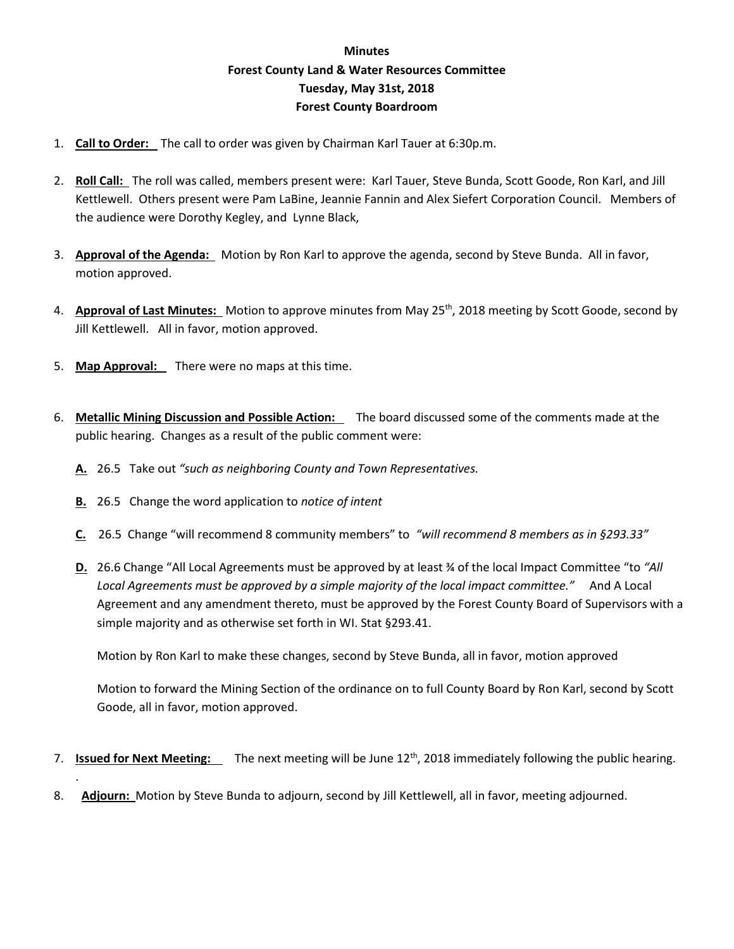## **Minutes Forest County Land & Water Resources Committee Tuesday, May 31st, 2018 Forest County Boardroom**

- 1. **Call to Order:** The call to order was given by Chairman Karl Tauer at 6:30p.m.
- 2. **Roll Call:** The roll was called, members present were: Karl Tauer, Steve Bunda, Scott Goode, Ron Karl, and Jill Kettlewell. Others present were Pam LaBine, Jeannie Fannin and Alex Siefert Corporation Council. Members of the audience were Dorothy Kegley, and Lynne Black,
- 3. **Approval of the Agenda:** Motion by Ron Karl to approve the agenda, second by Steve Bunda. All in favor, motion approved.
- 4. **Approval of Last Minutes:** Motion to approve minutes from May 25<sup>th</sup>, 2018 meeting by Scott Goode, second by Jill Kettlewell. All in favor, motion approved.
- 5. **Map Approval:** There were no maps at this time.
- 6. **Metallic Mining Discussion and Possible Action:** The board discussed some of the comments made at the public hearing. Changes as a result of the public comment were:
	- **A.** 26.5 Take out *"such as neighboring County and Town Representatives.*
	- **B.** 26.5 Change the word application to *notice of intent*

.

- **C.** 26.5 Change "will recommend 8 community members" to *"will recommend 8 members as in §293.33"*
- **D.** 26.6 Change "All Local Agreements must be approved by at least ¾ of the local Impact Committee "to *"All Local Agreements must be approved by a simple majority of the local impact committee."* And A Local Agreement and any amendment thereto, must be approved by the Forest County Board of Supervisors with a simple majority and as otherwise set forth in WI. Stat §293.41.

Motion by Ron Karl to make these changes, second by Steve Bunda, all in favor, motion approved

Motion to forward the Mining Section of the ordinance on to full County Board by Ron Karl, second by Scott Goode, all in favor, motion approved.

- 7. **Issued for Next Meeting:** The next meeting will be June 12th, 2018 immediately following the public hearing.
- 8. **Adjourn:** Motion by Steve Bunda to adjourn, second by Jill Kettlewell, all in favor, meeting adjourned.